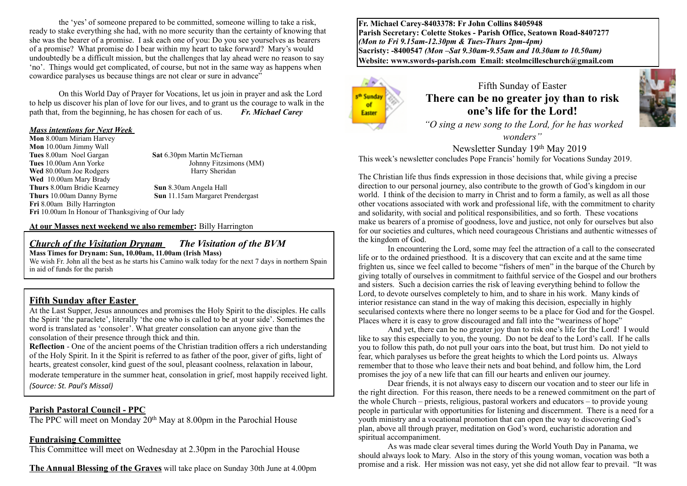the 'yes' of someone prepared to be committed, someone willing to take a risk, ready to stake everything she had, with no more security than the certainty of knowing that she was the bearer of a promise. I ask each one of you: Do you see yourselves as bearers of a promise? What promise do I bear within my heart to take forward? Mary's would undoubtedly be a difficult mission, but the challenges that lay ahead were no reason to say 'no'. Things would get complicated, of course, but not in the same way as happens when cowardice paralyses us because things are not clear or sure in advance"

On this World Day of Prayer for Vocations, let us join in prayer and ask the Lord to help us discover his plan of love for our lives, and to grant us the courage to walk in the path that, from the beginning, he has chosen for each of us. *Fr. Michael Carey*

#### *Mass intentions for Next Week*

**Mon** 8.00am Miriam Harvey **Mon** 10.00am Jimmy Wall **Tues** 8.00am Noel Gargan **Sat** 6.30pm Martin McTiernan **Tues** 10.00am Ann Yorke **Sat Sat** 6.30pm Martin McTiernan **Johnny Fitzsimons (MM)** Wed 80.00am Joe Rodgers **Harry Sheridan Wed** 10.00am Mary Brady **Thurs** 8.00am Bridie Kearney **Sun** 8.30am Angela Hall **Thurs** 10.00am Danny Byrne **Sun** 11.15am Margaret Prendergast **Fri** 8.00am Billy Harrington

**Fri** 10.00am In Honour of Thanksgiving of Our lady

**At our Masses next weekend we also remember:** Billy Harrington

#### *Church of the Visitation Drynam**The Visitation of the BVM* **Mass Times for Drynam: Sun, 10.00am, 11.00am (Irish Mass)**

We wish Fr. John all the best as he starts his Camino walk today for the next 7 days in northern Spain in aid of funds for the parish

### **Fifth Sunday after Easter**

At the Last Supper, Jesus announces and promises the Holy Spirit to the disciples. He calls the Spirit 'the paraclete', literally 'the one who is called to be at your side'. Sometimes the word is translated as 'consoler'. What greater consolation can anyone give than the consolation of their presence through thick and thin.

**Reflection** - One of the ancient poems of the Christian tradition offers a rich understanding of the Holy Spirit. In it the Spirit is referred to as father of the poor, giver of gifts, light of hearts, greatest consoler, kind guest of the soul, pleasant coolness, relaxation in labour, moderate temperature in the summer heat, consolation in grief, most happily received light. *(Source: St. Paul's Missal)*

#### **Parish Pastoral Council - PPC**

The PPC will meet on Monday 20<sup>th</sup> May at 8.00pm in the Parochial House

#### **Fundraising Committee**

This Committee will meet on Wednesday at 2.30pm in the Parochial House

**The Annual Blessing of the Graves** will take place on Sunday 30th June at 4.00pm

**Fr. Michael Carey-8403378: Fr John Collins 8405948 Parish Secretary: Colette Stokes - Parish Office, Seatown Road-8407277**  *(Mon to Fri 9.15am-12.30pm & Tues-Thurs 2pm-4pm)*  **Sacristy: -8400547** *(Mon –Sat 9.30am-9.55am and 10.30am to 10.50am)* **Website: [www.swords-parish.com Email:](http://www.swords-parish.com%20%20email) stcolmcilleschurch@gmail.com**



Fifth Sunday of Easter **There can be no greater joy than to risk one's life for the Lord!** 

 *"O sing a new song to the Lord, for he has worked wonders"* 

Newsletter Sunday 19th May 2019 This week's newsletter concludes Pope Francis' homily for Vocations Sunday 2019.

The Christian life thus finds expression in those decisions that, while giving a precise direction to our personal journey, also contribute to the growth of God's kingdom in our world. I think of the decision to marry in Christ and to form a family, as well as all those other vocations associated with work and professional life, with the commitment to charity and solidarity, with social and political responsibilities, and so forth. These vocations make us bearers of a promise of goodness, love and justice, not only for ourselves but also for our societies and cultures, which need courageous Christians and authentic witnesses of the kingdom of God.

In encountering the Lord, some may feel the attraction of a call to the consecrated life or to the ordained priesthood. It is a discovery that can excite and at the same time frighten us, since we feel called to become "fishers of men" in the barque of the Church by giving totally of ourselves in commitment to faithful service of the Gospel and our brothers and sisters. Such a decision carries the risk of leaving everything behind to follow the Lord, to devote ourselves completely to him, and to share in his work. Many kinds of interior resistance can stand in the way of making this decision, especially in highly secularised contexts where there no longer seems to be a place for God and for the Gospel. Places where it is easy to grow discouraged and fall into the "weariness of hope"

And yet, there can be no greater joy than to risk one's life for the Lord! I would like to say this especially to you, the young. Do not be deaf to the Lord's call. If he calls you to follow this path, do not pull your oars into the boat, but trust him. Do not yield to fear, which paralyses us before the great heights to which the Lord points us. Always remember that to those who leave their nets and boat behind, and follow him, the Lord promises the joy of a new life that can fill our hearts and enliven our journey.

Dear friends, it is not always easy to discern our vocation and to steer our life in the right direction. For this reason, there needs to be a renewed commitment on the part of the whole Church – priests, religious, pastoral workers and educators – to provide young people in particular with opportunities for listening and discernment. There is a need for a youth ministry and a vocational promotion that can open the way to discovering God's plan, above all through prayer, meditation on God's word, eucharistic adoration and spiritual accompaniment.

As was made clear several times during the World Youth Day in Panama, we should always look to Mary. Also in the story of this young woman, vocation was both a promise and a risk. Her mission was not easy, yet she did not allow fear to prevail. "It was